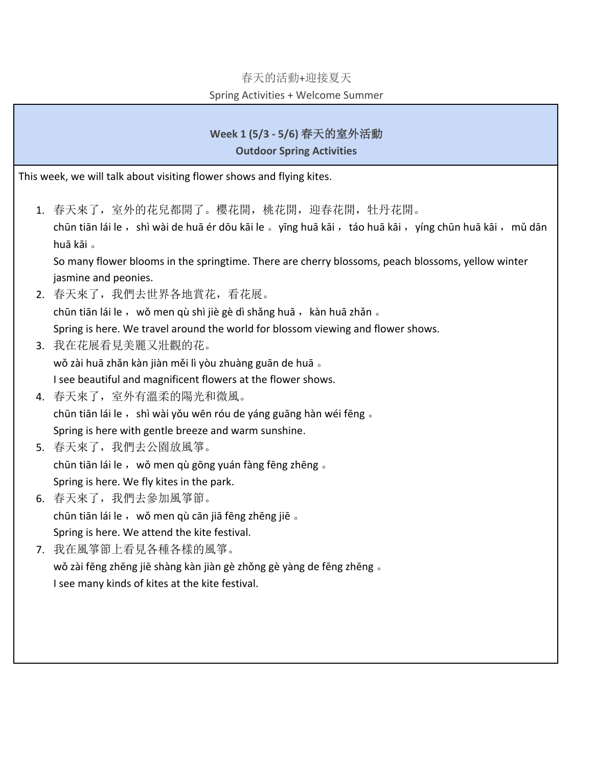#### 春天的活動+迎接夏天

#### Spring Activities + Welcome Summer

# **Week 1 (5/3 - 5/6)** 春天的室外活動

#### **Outdoor Spring Activities**

This week, we will talk about visiting flower shows and flying kites.

1. 春天來了,室外的花兒都開了。櫻花開,桃花開,迎春花開,牡丹花開。 chūn tiān lái le, shì wài de huā ér dōu kāi le 。yīng huā kāi, táo huā kāi, yíng chūn huā kāi, mǔ dān huā kāi 。

So many flower blooms in the springtime. There are cherry blossoms, peach blossoms, yellow winter jasmine and peonies.

2. 春天來了,我們去世界各地賞花,看花展。

chūn tiān lái le, wǒ men qù shì jiè gè dì shǎng huā, kàn huā zhǎn 。

Spring is here. We travel around the world for blossom viewing and flower shows.

- 3. 我在花展看見美麗又壯觀的花。 wǒ zài huā zhǎn kàn jiàn měi lì yòu zhuàng guān de huā 。 I see beautiful and magnificent flowers at the flower shows.
- 4. 春天來了,室外有溫柔的陽光和微風。 chūn tiān lái le, shì wài yǒu wēn róu de yáng guāng hàn wéi fēng 。 Spring is here with gentle breeze and warm sunshine.
- 5. 春天來了,我們去公園放風箏。 chūn tiān lái le, wǒ men qù gōng yuán fàng fēng zhēng 。 Spring is here. We fly kites in the park.
- 6. 春天來了,我們去參加風箏節。 chūn tiān lái le, wǒ men qù cān jiā fēng zhēng jiē. Spring is here. We attend the kite festival.
- 7. 我在風箏節上看見各種各樣的風箏。 wǒ zài fēng zhēng jiē shàng kàn jiàn gè zhǒng gè yàng de fēng zhēng 。 I see many kinds of kites at the kite festival.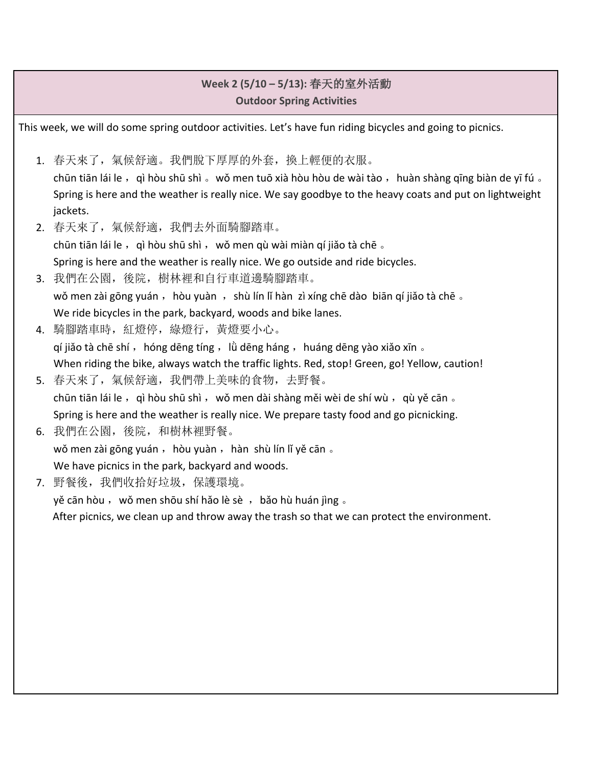## **Week 2 (5/10 – 5/13):** 春天的室外活動 **Outdoor Spring Activities**

This week, we will do some spring outdoor activities. Let's have fun riding bicycles and going to picnics.

- 1. 春天來了,氣候舒適。我們脫下厚厚的外套,換上輕便的衣服。 chūn tiān lái le, qì hòu shū shì 。wǒ men tuō xià hòu hòu de wài tào , huàn shàng qīng biàn de yī fú 。 Spring is here and the weather is really nice. We say goodbye to the heavy coats and put on lightweight jackets.
- 2. 春天來了,氣候舒適,我們去外面騎腳踏車。 chūn tiān lái le, qì hòu shū shì, wǒ men qù wài miàn qí jiǎo tà chē 。 Spring is here and the weather is really nice. We go outside and ride bicycles.
- 3. 我們在公園,後院,樹林裡和自行車道邊騎腳踏車。 wǒ men zài gōng yuán, hòu yuàn, shù lín lǐ hàn zì xíng chē dào biān qí jiǎo tà chē 。 We ride bicycles in the park, backyard, woods and bike lanes.
- 4. 騎腳踏車時,紅燈停,綠燈行,黃燈要小心。  $q$ í jiǎo tà chē shí, hóng dēng tíng, lǜ dēng háng, huáng dēng yào xiǎo xīn  $\epsilon$ When riding the bike, always watch the traffic lights. Red, stop! Green, go! Yellow, caution!
- 5. 春天來了,氣候舒適,我們帶上美味的食物,去野餐。 chūn tiān lái le, qì hòu shū shì, wǒ men dài shàng měi wèi de shí wù, qù yě cān  $\overline{\phantom{a}}$ Spring is here and the weather is really nice. We prepare tasty food and go picnicking.
- 6. 我們在公園,後院,和樹林裡野餐。 wǒ men zài gōng yuán, hòu yuàn, hàn shù lín lǐ yě cān 。 We have picnics in the park, backyard and woods.
- 7. 野餐後,我們收拾好垃圾,保護環境。

yě cān hòu, wǒ men shōu shí hǎo lè sè, bǎo hù huán jìng 。

After picnics, we clean up and throw away the trash so that we can protect the environment.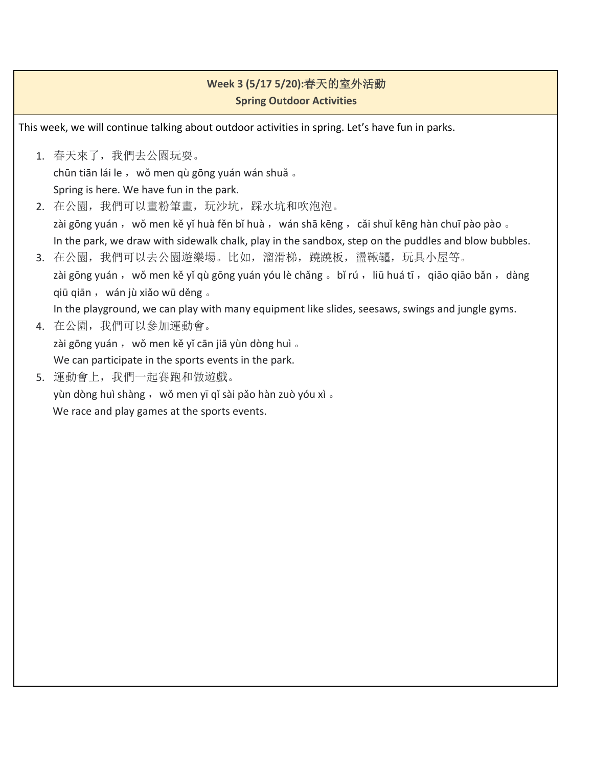## **Week 3 (5/17 5/20):**春天的室外活動 **Spring Outdoor Activities**

This week, we will continue talking about outdoor activities in spring. Let's have fun in parks.

- 1. 春天來了,我們去公園玩耍。 chūn tiān lái le, wǒ men qù gōng yuán wán shuǎ 。 Spring is here. We have fun in the park.
- 2. 在公園,我們可以畫粉筆畫,玩沙坑,踩水坑和吹泡泡。 zài gōng yuán, wǒ men kě yǐ huà fěn bǐ huà, wán shā kēng, cǎi shuǐ kēng hàn chuī pào pào  $\overline{\phantom{a}}$ In the park, we draw with sidewalk chalk, play in the sandbox, step on the puddles and blow bubbles.
- 3. 在公園, 我們可以去公園遊樂場。比如, 溜滑梯, 蹺蹺板, 盪鞦韆, 玩具小屋等。 zài gōng yuán, wǒ men kě yǐ qù gōng yuán yóu lè chǎng 。bǐ rú, liū huá tī, qiāo qiāo bǎn, dàng qiū qiān, wán jù xiǎo wū děng 。

In the playground, we can play with many equipment like slides, seesaws, swings and jungle gyms.

- 4. 在公園,我們可以參加運動會。 zài gōng yuán, wǒ men kě yǐ cān jiā yùn dòng huì 。 We can participate in the sports events in the park.
- 5. 運動會上,我們一起賽跑和做遊戲。 yùn dòng huì shàng, wǒ men yī qǐ sài pǎo hàn zuò yóu xì 。 We race and play games at the sports events.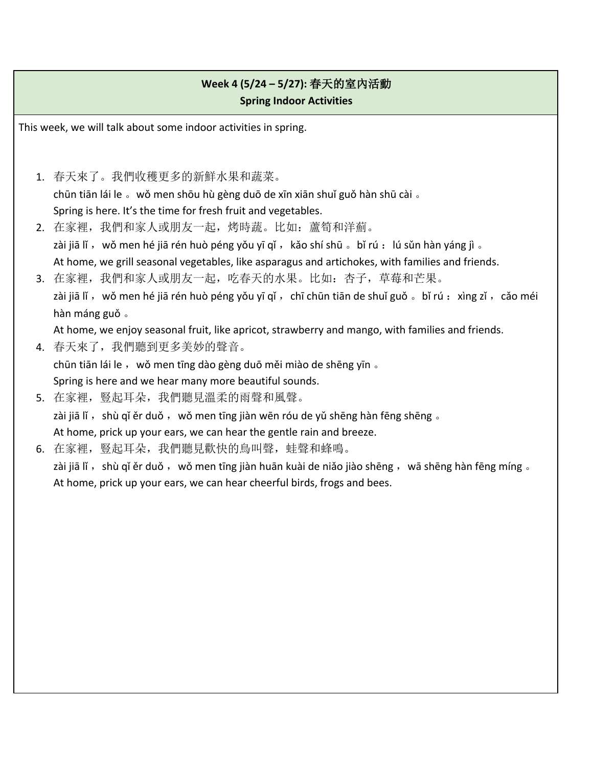## **Week 4 (5/24 – 5/27):** 春天的室內活動 **Spring Indoor Activities**

This week, we will talk about some indoor activities in spring.

- 1. 春天來了。我們收穫更多的新鮮水果和蔬菜。 chūn tiān lái le 。wǒ men shōu hù gèng duō de xīn xiān shuǐ guǒ hàn shū cài 。 Spring is here. It's the time for fresh fruit and vegetables.
- 2. 在家裡,我們和家人或朋友一起,烤時蔬。比如: 蘆筍和洋薊。 zài jiā lǐ, wǒ men hé jiā rén huò péng yǒu yī qǐ, kǎo shí shū 。bǐ rú :lú sǔn hàn yáng jì 。 At home, we grill seasonal vegetables, like asparagus and artichokes, with families and friends.
- 3. 在家裡,我們和家人或朋友一起,吃春天的水果。比如: 杏子,草莓和芒果。 zài jiā lǐ, wǒ men hé jiā rén huò péng yǒu yī qǐ, chī chūn tiān de shuǐ guǒ 。bǐ rú : xìng zǐ, cǎo méi hàn máng guǒ 。

At home, we enjoy seasonal fruit, like apricot, strawberry and mango, with families and friends.

- 4. 春天來了,我們聽到更多美妙的聲音。 chūn tiān lái le, wǒ men tīng dào gèng duō měi miào de shēng yīn 。 Spring is here and we hear many more beautiful sounds.
- 5. 在家裡, 豎起耳朵, 我們聽見溫柔的雨聲和風聲。 zài jiā lǐ, shù qǐ ěr duǒ, wǒ men tīng jiàn wēn róu de yǔ shēng hàn fēng shēng 。 At home, prick up your ears, we can hear the gentle rain and breeze.
- 6. 在家裡, 豎起耳朵, 我們聽見歡快的鳥叫聲, 蛙聲和蜂鳴。

zài jiā lǐ, shù qǐ ěr duǒ, wǒ men tīng jiàn huān kuài de niǎo jiào shēng, wā shēng hàn fēng míng 。 At home, prick up your ears, we can hear cheerful birds, frogs and bees.